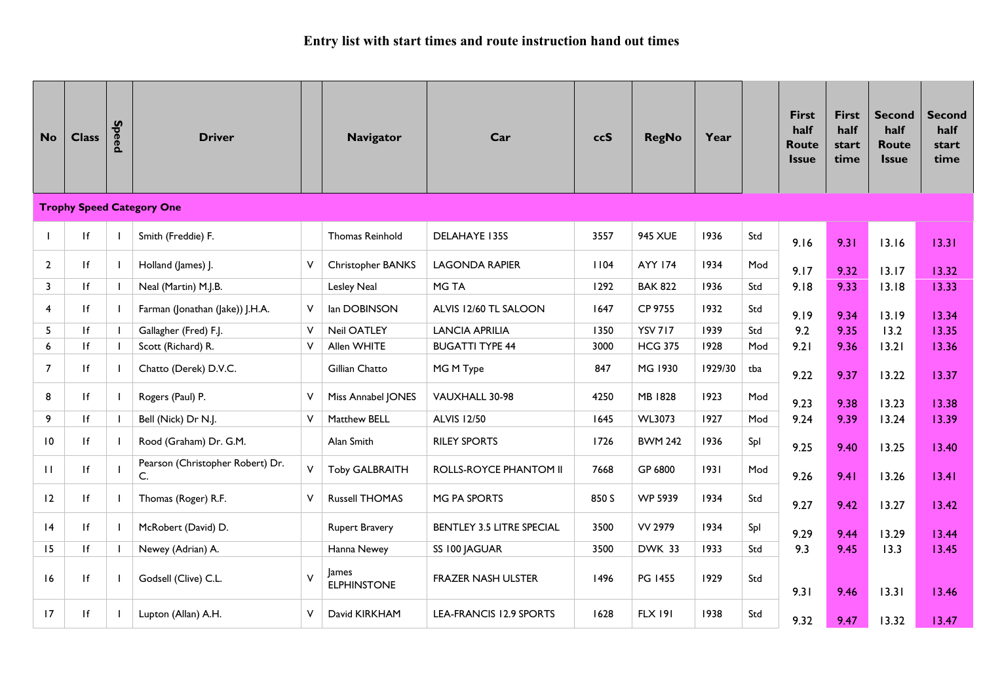| <b>No</b>                        | <b>Class</b> | <b>Speed</b> | <b>Driver</b>                          |        | <b>Navigator</b>            | Car                            | ccS   | <b>RegNo</b>   | Year    |     | First<br>half<br>Route<br><b>Issue</b> | <b>First</b><br>half<br>start<br>time | <b>Second</b><br>half<br>Route<br><b>Issue</b> | <b>Second</b><br>half<br>start<br>time |
|----------------------------------|--------------|--------------|----------------------------------------|--------|-----------------------------|--------------------------------|-------|----------------|---------|-----|----------------------------------------|---------------------------------------|------------------------------------------------|----------------------------------------|
| <b>Trophy Speed Category One</b> |              |              |                                        |        |                             |                                |       |                |         |     |                                        |                                       |                                                |                                        |
|                                  | If           |              | Smith (Freddie) F.                     |        | Thomas Reinhold             | <b>DELAHAYE 135S</b>           | 3557  | <b>945 XUE</b> | 1936    | Std | 9.16                                   | 9.31                                  | 13.16                                          | 13.31                                  |
| $\overline{2}$                   | If           |              | Holland (James) J.                     | $\vee$ | Christopher BANKS           | <b>LAGONDA RAPIER</b>          | 1104  | <b>AYY 174</b> | 1934    | Mod | 9.17                                   | 9.32                                  | 13.17                                          | 13.32                                  |
| $\overline{3}$                   | If           |              | Neal (Martin) M.J.B.                   |        | Lesley Neal                 | MG TA                          | 1292  | <b>BAK 822</b> | 1936    | Std | 9.18                                   | 9.33                                  | 13.18                                          | 13.33                                  |
| $\overline{4}$                   | If           |              | Farman (Jonathan (Jake)) J.H.A.        | V      | lan DOBINSON                | ALVIS 12/60 TL SALOON          | 1647  | CP 9755        | 1932    | Std | 9.19                                   | 9.34                                  | 13.19                                          | 13.34                                  |
| 5                                | If           |              | Gallagher (Fred) F.J.                  | V      | Neil OATLEY                 | <b>LANCIA APRILIA</b>          | 1350  | <b>YSV 717</b> | 1939    | Std | 9.2                                    | 9.35                                  | 13.2                                           | 13.35                                  |
| 6                                | If           |              | Scott (Richard) R.                     | $\vee$ | Allen WHITE                 | <b>BUGATTI TYPE 44</b>         | 3000  | <b>HCG 375</b> | 1928    | Mod | 9.21                                   | 9.36                                  | 13.21                                          | 13.36                                  |
| $\overline{7}$                   | If           |              | Chatto (Derek) D.V.C.                  |        | Gillian Chatto              | MG M Type                      | 847   | MG 1930        | 1929/30 | tba | 9.22                                   | 9.37                                  | 13.22                                          | 13.37                                  |
| 8                                | If           |              | Rogers (Paul) P.                       | $\vee$ | Miss Annabel JONES          | VAUXHALL 30-98                 | 4250  | MB 1828        | 1923    | Mod | 9.23                                   | 9.38                                  | 13.23                                          | 13.38                                  |
| 9                                | If           |              | Bell (Nick) Dr N.J.                    | $\vee$ | Matthew BELL                | <b>ALVIS 12/50</b>             | 1645  | <b>WL3073</b>  | 1927    | Mod | 9.24                                   | 9.39                                  | 13.24                                          | 13.39                                  |
| $\overline{10}$                  | f            |              | Rood (Graham) Dr. G.M.                 |        | Alan Smith                  | <b>RILEY SPORTS</b>            | 1726  | <b>BWM 242</b> | 1936    | Spl | 9.25                                   | 9.40                                  | 13.25                                          | 13.40                                  |
| $\mathbf{H}$                     | If           |              | Pearson (Christopher Robert) Dr.<br>C. | $\vee$ | <b>Toby GALBRAITH</b>       | ROLLS-ROYCE PHANTOM II         | 7668  | GP 6800        | 1931    | Mod | 9.26                                   | 9.41                                  | 13.26                                          | 13.41                                  |
| 12                               | If           |              | Thomas (Roger) R.F.                    | $\vee$ | <b>Russell THOMAS</b>       | MG PA SPORTS                   | 850 S | <b>WP 5939</b> | 1934    | Std | 9.27                                   | 9.42                                  | 13.27                                          | 13.42                                  |
| $ 4\rangle$                      | If           |              | McRobert (David) D.                    |        | <b>Rupert Bravery</b>       | BENTLEY 3.5 LITRE SPECIAL      | 3500  | VV 2979        | 1934    | Spl | 9.29                                   | 9.44                                  | 13.29                                          | 13.44                                  |
| 15                               | If           |              | Newey (Adrian) A.                      |        | Hanna Newey                 | SS 100 JAGUAR                  | 3500  | DWK 33         | 1933    | Std | 9.3                                    | 9.45                                  | 13.3                                           | 13.45                                  |
| 16                               | If           |              | Godsell (Clive) C.L.                   | $\vee$ | lames<br><b>ELPHINSTONE</b> | <b>FRAZER NASH ULSTER</b>      | 1496  | <b>PG 1455</b> | 1929    | Std | 9.31                                   | 9.46                                  | 13.31                                          | 13.46                                  |
| 17                               | f            |              | Lupton (Allan) A.H.                    | V      | David KIRKHAM               | <b>LEA-FRANCIS 12.9 SPORTS</b> | 1628  | <b>FLX 191</b> | 1938    | Std | 9.32                                   | 9.47                                  | 13.32                                          | 13.47                                  |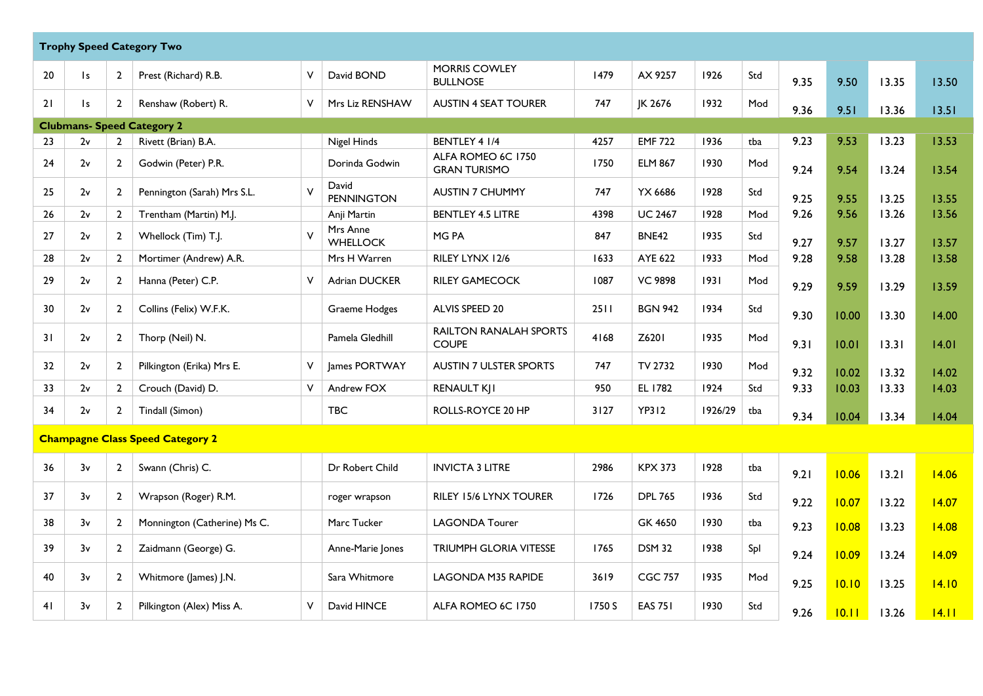| <b>Trophy Speed Category Two</b>        |                                   |                |                              |        |                             |                                               |        |                |         |     |      |       |         |       |
|-----------------------------------------|-----------------------------------|----------------|------------------------------|--------|-----------------------------|-----------------------------------------------|--------|----------------|---------|-----|------|-------|---------|-------|
| 20                                      | $\mathsf{ls}$                     | $\overline{2}$ | Prest (Richard) R.B.         | v      | David BOND                  | <b>MORRIS COWLEY</b><br><b>BULLNOSE</b>       | 1479   | AX 9257        | 1926    | Std | 9.35 | 9.50  | 13.35   | 13.50 |
| 21                                      | ls.                               | $\mathbf{2}$   | Renshaw (Robert) R.          | V      | Mrs Liz RENSHAW             | <b>AUSTIN 4 SEAT TOURER</b>                   | 747    | IK 2676        | 1932    | Mod | 9.36 | 9.51  | 13.36   | 13.51 |
|                                         | <b>Clubmans- Speed Category 2</b> |                |                              |        |                             |                                               |        |                |         |     |      |       |         |       |
| 23                                      | 2v                                | $\mathbf{2}$   | Rivett (Brian) B.A.          |        | Nigel Hinds                 | <b>BENTLEY 4 1/4</b>                          | 4257   | <b>EMF 722</b> | 1936    | tba | 9.23 | 9.53  | 13.23   | 13.53 |
| 24                                      | 2v                                | $\mathbf{2}$   | Godwin (Peter) P.R.          |        | Dorinda Godwin              | ALFA ROMEO 6C 1750<br><b>GRAN TURISMO</b>     | 1750   | <b>ELM 867</b> | 1930    | Mod | 9.24 | 9.54  | 13.24   | 13.54 |
| 25                                      | 2v                                | $\mathbf{2}$   | Pennington (Sarah) Mrs S.L.  | $\vee$ | David<br><b>PENNINGTON</b>  | <b>AUSTIN 7 CHUMMY</b>                        | 747    | <b>YX 6686</b> | 1928    | Std | 9.25 | 9.55  | 13.25   | 13.55 |
| 26                                      | 2v                                | $\overline{2}$ | Trentham (Martin) M.J.       |        | Anji Martin                 | <b>BENTLEY 4.5 LITRE</b>                      | 4398   | <b>UC 2467</b> | 1928    | Mod | 9.26 | 9.56  | 13.26   | 13.56 |
| 27                                      | 2v                                | $\mathbf{2}$   | Whellock (Tim) T.J.          | $\vee$ | Mrs Anne<br><b>WHELLOCK</b> | MG PA                                         | 847    | <b>BNE42</b>   | 1935    | Std | 9.27 | 9.57  | 13.27   | 13.57 |
| 28                                      | 2v                                | $\overline{2}$ | Mortimer (Andrew) A.R.       |        | Mrs H Warren                | RILEY LYNX 12/6                               | 1633   | AYE 622        | 1933    | Mod | 9.28 | 9.58  | 13.28   | 13.58 |
| 29                                      | 2v                                | $\mathbf{2}$   | Hanna (Peter) C.P.           | V      | Adrian DUCKER               | <b>RILEY GAMECOCK</b>                         | 1087   | <b>VC 9898</b> | 1931    | Mod | 9.29 | 9.59  | 13.29   | 13.59 |
| 30                                      | 2v                                | $\mathbf{2}$   | Collins (Felix) W.F.K.       |        | Graeme Hodges               | ALVIS SPEED 20                                | 2511   | <b>BGN 942</b> | 1934    | Std | 9.30 | 10.00 | 13.30   | 14.00 |
| 31                                      | 2v                                | $\overline{2}$ | Thorp (Neil) N.              |        | Pamela Gledhill             | <b>RAILTON RANALAH SPORTS</b><br><b>COUPE</b> | 4168   | Z6201          | 1935    | Mod | 9.31 | 10.01 | 13.31   | 14.01 |
| 32                                      | 2v                                | $\mathbf{2}$   | Pilkington (Erika) Mrs E.    | V      | James PORTWAY               | <b>AUSTIN 7 ULSTER SPORTS</b>                 | 747    | TV 2732        | 1930    | Mod | 9.32 | 10.02 | 13.32   | 14.02 |
| 33                                      | 2v                                | $2^{\circ}$    | Crouch (David) D.            | $\vee$ | Andrew FOX                  | <b>RENAULT KJI</b>                            | 950    | EL 1782        | 1924    | Std | 9.33 | 10.03 | 13.33   | 14.03 |
| 34                                      | 2v                                | $\overline{2}$ | Tindall (Simon)              |        | <b>TBC</b>                  | ROLLS-ROYCE 20 HP                             | 3127   | <b>YP312</b>   | 1926/29 | tba | 9.34 | 10.04 | 13.34   | 14.04 |
| <b>Champagne Class Speed Category 2</b> |                                   |                |                              |        |                             |                                               |        |                |         |     |      |       |         |       |
| 36                                      | 3v                                | $\mathbf{2}$   | Swann (Chris) C.             |        | Dr Robert Child             | <b>INVICTA 3 LITRE</b>                        | 2986   | <b>KPX 373</b> | 1928    | tba | 9.21 | 10.06 | $13.21$ | 14.06 |
| 37                                      | 3v                                | $\mathbf{2}$   | Wrapson (Roger) R.M.         |        | roger wrapson               | RILEY 15/6 LYNX TOURER                        | 1726   | <b>DPL 765</b> | 1936    | Std | 9.22 | 10.07 | 13.22   | 14.07 |
| 38                                      | 3v                                | $\mathbf{2}$   | Monnington (Catherine) Ms C. |        | Marc Tucker                 | <b>LAGONDA Tourer</b>                         |        | GK 4650        | 1930    | tba | 9.23 | 10.08 | 13.23   | 14.08 |
| 39                                      | 3v                                | $\mathbf{2}$   | Zaidmann (George) G.         |        | Anne-Marie Jones            | TRIUMPH GLORIA VITESSE                        | 1765   | <b>DSM 32</b>  | 1938    | Spl | 9.24 | 10.09 | 13.24   | 14.09 |
| 40                                      | 3v                                | $\mathbf{2}$   | Whitmore (James) J.N.        |        | Sara Whitmore               | LAGONDA M35 RAPIDE                            | 3619   | <b>CGC 757</b> | 1935    | Mod | 9.25 | 10.10 | 13.25   | 14.10 |
| 41                                      | 3v                                | $\mathbf{2}$   | Pilkington (Alex) Miss A.    | V      | David HINCE                 | ALFA ROMEO 6C 1750                            | 1750 S | <b>EAS 751</b> | 1930    | Std | 9.26 | 10.11 | 13.26   | 14.11 |